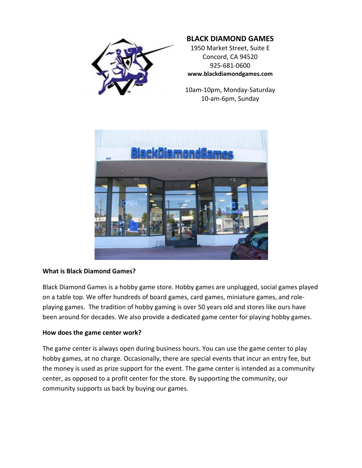

# **BLACK DIAMOND GAMES**

1950 Market Street, Suite E Concord, CA 94520 925‐681‐0600 **www.blackdiamondgames.com**

10am‐10pm, Monday‐Saturday 10‐am‐6pm, Sunday



## **What is Black Diamond Games?**

Black Diamond Games is a hobby game store. Hobby games are unplugged, social games played on a table top. We offer hundreds of board games, card games, miniature games, and role‐ playing games. The tradition of hobby gaming is over 50 years old and stores like ours have been around for decades. We also provide a dedicated game center for playing hobby games.

### **How does the game center work?**

The game center is always open during business hours. You can use the game center to play hobby games, at no charge. Occasionally, there are special events that incur an entry fee, but the money is used as prize support for the event. The game center is intended as a community center, as opposed to a profit center for the store. By supporting the community, our community supports us back by buying our games.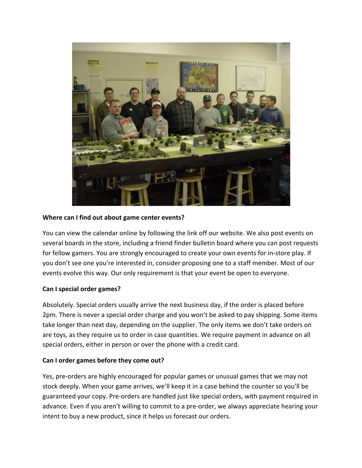

### **Where can I find out about game center events?**

You can view the calendar online by following the link off our website. We also post events on several boards in the store, including a friend finder bulletin board where you can post requests for fellow gamers. You are strongly encouraged to create your own events for in‐store play. If you don't see one you're interested in, consider proposing one to a staff member. Most of our events evolve this way. Our only requirement is that your event be open to everyone.

### **Can I special order games?**

Absolutely. Special orders usually arrive the next business day, if the order is placed before 2pm. There is never a special order charge and you won't be asked to pay shipping. Some items take longer than next day, depending on the supplier. The only items we don't take orders on are toys, as they require us to order in case quantities. We require payment in advance on all special orders, either in person or over the phone with a credit card.

### **Can I order games before they come out?**

Yes, pre‐orders are highly encouraged for popular games or unusual games that we may not stock deeply. When your game arrives, we'll keep it in a case behind the counter so you'll be guaranteed your copy. Pre‐orders are handled just like special orders, with payment required in advance. Even if you aren't willing to commit to a pre-order, we always appreciate hearing your intent to buy a new product, since it helps us forecast our orders.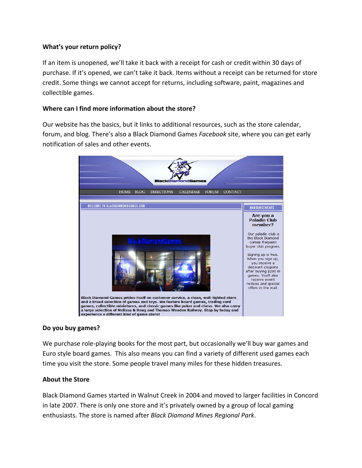## **What's your return policy?**

If an item is unopened, we'll take it back with a receipt for cash or credit within 30 days of purchase. If it's opened, we can't take it back. Items without a receipt can be returned for store credit. Some things we cannot accept for returns, including software, paint, magazines and collectible games.

### **Where can I find more information about the store?**

Our website has the basics, but it links to additional resources, such as the store calendar, forum, and blog. There's also a Black Diamond Games *Facebook* site, where you can get early notification of sales and other events.



### **Do you buy games?**

We purchase role-playing books for the most part, but occasionally we'll buy war games and Euro style board games. This also means you can find a variety of different used games each time you visit the store. Some people travel many miles for these hidden treasures.

### **About the Store**

Black Diamond Games started in Walnut Creek in 2004 and moved to larger facilities in Concord in late 2007. There is only one store and it's privately owned by a group of local gaming enthusiasts. The store is named after *Black Diamond Mines Regional Park*.